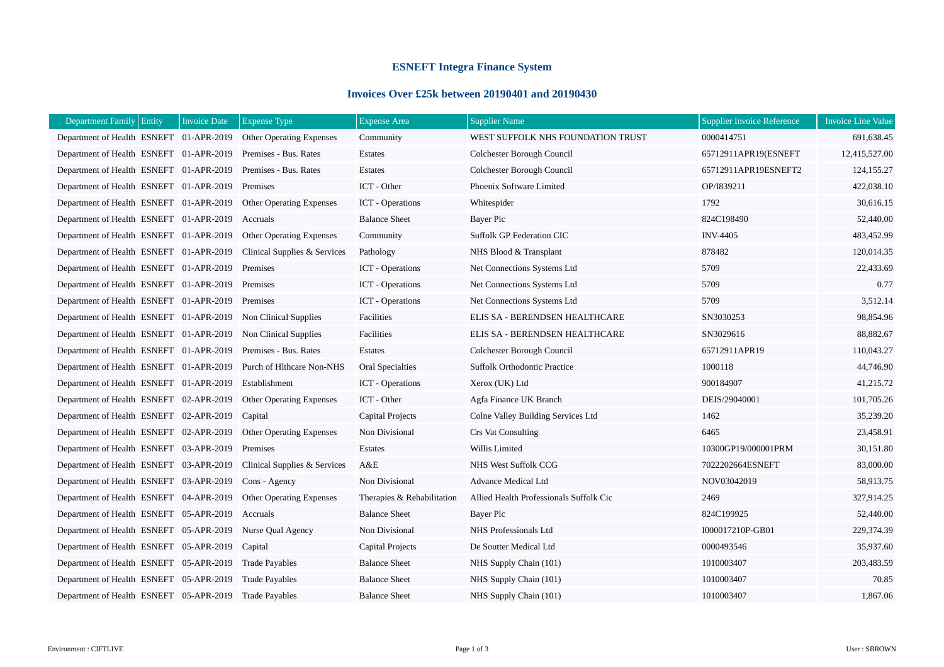## **ESNEFT Integra Finance System**

## **Invoices Over £25k between 20190401 and 20190430**

| Department Family Entity<br><b>Invoice Date</b> | <b>Expense Type</b>             | <b>Expense Area</b>        | <b>Supplier Name</b>                    | <b>Supplier Invoice Reference</b> | <b>Invoice Line Value</b> |
|-------------------------------------------------|---------------------------------|----------------------------|-----------------------------------------|-----------------------------------|---------------------------|
| Department of Health ESNEFT 01-APR-2019         | <b>Other Operating Expenses</b> | Community                  | WEST SUFFOLK NHS FOUNDATION TRUST       | 0000414751                        | 691,638.45                |
| Department of Health ESNEFT 01-APR-2019         | Premises - Bus. Rates           | Estates                    | Colchester Borough Council              | 65712911APR19(ESNEFT              | 12,415,527.00             |
| Department of Health ESNEFT 01-APR-2019         | Premises - Bus. Rates           | Estates                    | Colchester Borough Council              | 65712911APR19ESNEFT2              | 124,155.27                |
| Department of Health ESNEFT 01-APR-2019         | Premises                        | ICT - Other                | Phoenix Software Limited                | OP/I839211                        | 422,038.10                |
| Department of Health ESNEFT 01-APR-2019         | Other Operating Expenses        | <b>ICT</b> - Operations    | Whitespider                             | 1792                              | 30,616.15                 |
| Department of Health ESNEFT 01-APR-2019         | Accruals                        | <b>Balance Sheet</b>       | Bayer Plc                               | 824C198490                        | 52,440.00                 |
| Department of Health ESNEFT 01-APR-2019         | Other Operating Expenses        | Community                  | <b>Suffolk GP Federation CIC</b>        | <b>INV-4405</b>                   | 483,452.99                |
| Department of Health ESNEFT 01-APR-2019         | Clinical Supplies & Services    | Pathology                  | NHS Blood & Transplant                  | 878482                            | 120,014.35                |
| Department of Health ESNEFT 01-APR-2019         | Premises                        | <b>ICT</b> - Operations    | Net Connections Systems Ltd             | 5709                              | 22,433.69                 |
| Department of Health ESNEFT 01-APR-2019         | Premises                        | <b>ICT</b> - Operations    | Net Connections Systems Ltd             | 5709                              | 0.77                      |
| Department of Health ESNEFT 01-APR-2019         | Premises                        | <b>ICT</b> - Operations    | Net Connections Systems Ltd             | 5709                              | 3,512.14                  |
| Department of Health ESNEFT 01-APR-2019         | Non Clinical Supplies           | Facilities                 | ELIS SA - BERENDSEN HEALTHCARE          | SN3030253                         | 98,854.96                 |
| Department of Health ESNEFT 01-APR-2019         | Non Clinical Supplies           | Facilities                 | ELIS SA - BERENDSEN HEALTHCARE          | SN3029616                         | 88,882.67                 |
| Department of Health ESNEFT 01-APR-2019         | Premises - Bus. Rates           | Estates                    | Colchester Borough Council              | 65712911APR19                     | 110,043.27                |
| Department of Health ESNEFT 01-APR-2019         | Purch of Hlthcare Non-NHS       | Oral Specialties           | <b>Suffolk Orthodontic Practice</b>     | 1000118                           | 44,746.90                 |
| Department of Health ESNEFT 01-APR-2019         | Establishment                   | <b>ICT</b> - Operations    | Xerox (UK) Ltd                          | 900184907                         | 41,215.72                 |
| Department of Health ESNEFT 02-APR-2019         | <b>Other Operating Expenses</b> | ICT - Other                | Agfa Finance UK Branch                  | DEIS/29040001                     | 101,705.26                |
| Department of Health ESNEFT 02-APR-2019         | Capital                         | Capital Projects           | Colne Valley Building Services Ltd      | 1462                              | 35,239.20                 |
| Department of Health ESNEFT 02-APR-2019         | <b>Other Operating Expenses</b> | Non Divisional             | <b>Crs Vat Consulting</b>               | 6465                              | 23,458.91                 |
| Department of Health ESNEFT 03-APR-2019         | Premises                        | Estates                    | Willis Limited                          | 10300GP19/000001PRM               | 30,151.80                 |
| Department of Health ESNEFT 03-APR-2019         | Clinical Supplies & Services    | A&E                        | NHS West Suffolk CCG                    | 7022202664ESNEFT                  | 83,000.00                 |
| Department of Health ESNEFT 03-APR-2019         | Cons - Agency                   | Non Divisional             | <b>Advance Medical Ltd</b>              | NOV03042019                       | 58,913.75                 |
| Department of Health ESNEFT 04-APR-2019         | <b>Other Operating Expenses</b> | Therapies & Rehabilitation | Allied Health Professionals Suffolk Cic | 2469                              | 327,914.25                |
| Department of Health ESNEFT 05-APR-2019         | Accruals                        | <b>Balance Sheet</b>       | Bayer Plc                               | 824C199925                        | 52,440.00                 |
| Department of Health ESNEFT 05-APR-2019         | Nurse Oual Agency               | Non Divisional             | NHS Professionals Ltd                   | I000017210P-GB01                  | 229,374.39                |
| Department of Health ESNEFT 05-APR-2019         | Capital                         | <b>Capital Projects</b>    | De Soutter Medical Ltd                  | 0000493546                        | 35,937.60                 |
| Department of Health ESNEFT 05-APR-2019         | <b>Trade Payables</b>           | <b>Balance Sheet</b>       | NHS Supply Chain (101)                  | 1010003407                        | 203,483.59                |
| Department of Health ESNEFT 05-APR-2019         | <b>Trade Payables</b>           | <b>Balance Sheet</b>       | NHS Supply Chain (101)                  | 1010003407                        | 70.85                     |
| Department of Health ESNEFT 05-APR-2019         | <b>Trade Payables</b>           | <b>Balance Sheet</b>       | NHS Supply Chain (101)                  | 1010003407                        | 1,867.06                  |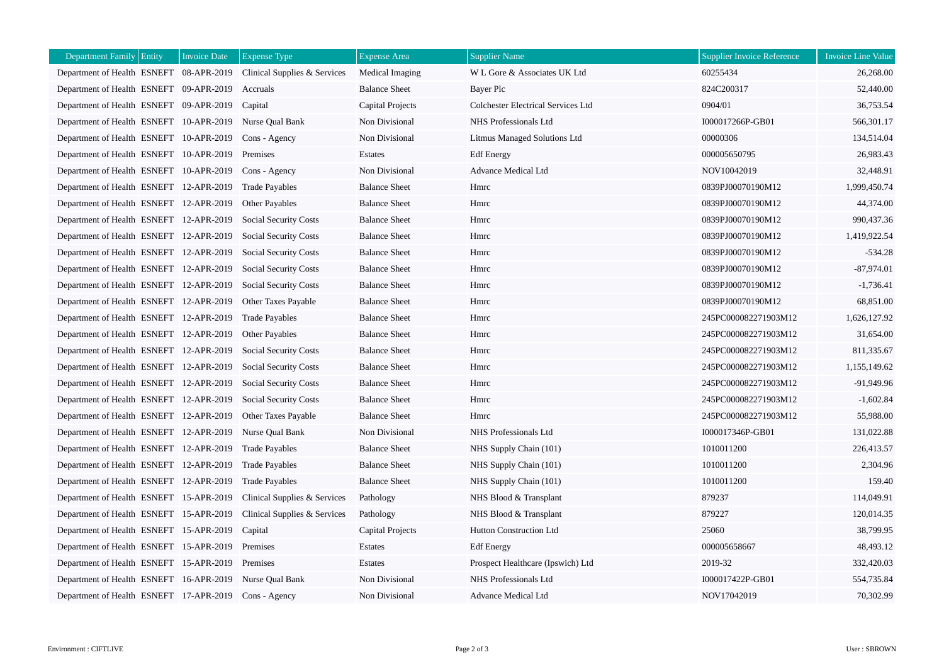| Department Family Entity                | <b>Invoice Date</b> | <b>Expense Type</b>          | <b>Expense Area</b>     | <b>Supplier Name</b>               | <b>Supplier Invoice Reference</b> | <b>Invoice Line Value</b> |
|-----------------------------------------|---------------------|------------------------------|-------------------------|------------------------------------|-----------------------------------|---------------------------|
| Department of Health ESNEFT 08-APR-2019 |                     | Clinical Supplies & Services | Medical Imaging         | W L Gore & Associates UK Ltd       | 60255434                          | 26,268.00                 |
| Department of Health ESNEFT 09-APR-2019 |                     | Accruals                     | <b>Balance Sheet</b>    | Bayer Plc                          | 824C200317                        | 52,440.00                 |
| Department of Health ESNEFT 09-APR-2019 |                     | Capital                      | <b>Capital Projects</b> | Colchester Electrical Services Ltd | 0904/01                           | 36,753.54                 |
| Department of Health ESNEFT 10-APR-2019 |                     | Nurse Qual Bank              | Non Divisional          | NHS Professionals Ltd              | I000017266P-GB01                  | 566,301.17                |
| Department of Health ESNEFT 10-APR-2019 |                     | Cons - Agency                | Non Divisional          | Litmus Managed Solutions Ltd       | 00000306                          | 134,514.04                |
| Department of Health ESNEFT 10-APR-2019 |                     | Premises                     | Estates                 | <b>Edf</b> Energy                  | 000005650795                      | 26,983.43                 |
| Department of Health ESNEFT 10-APR-2019 |                     | Cons - Agency                | Non Divisional          | <b>Advance Medical Ltd</b>         | NOV10042019                       | 32,448.91                 |
| Department of Health ESNEFT 12-APR-2019 |                     | <b>Trade Payables</b>        | <b>Balance Sheet</b>    | Hmrc                               | 0839PJ00070190M12                 | 1,999,450.74              |
| Department of Health ESNEFT 12-APR-2019 |                     | Other Payables               | <b>Balance Sheet</b>    | Hmrc                               | 0839PJ00070190M12                 | 44,374.00                 |
| Department of Health ESNEFT 12-APR-2019 |                     | <b>Social Security Costs</b> | <b>Balance Sheet</b>    | Hmrc                               | 0839PJ00070190M12                 | 990,437.36                |
| Department of Health ESNEFT 12-APR-2019 |                     | <b>Social Security Costs</b> | <b>Balance Sheet</b>    | Hmrc                               | 0839PJ00070190M12                 | 1,419,922.54              |
| Department of Health ESNEFT 12-APR-2019 |                     | <b>Social Security Costs</b> | <b>Balance Sheet</b>    | Hmrc                               | 0839PJ00070190M12                 | $-534.28$                 |
| Department of Health ESNEFT 12-APR-2019 |                     | <b>Social Security Costs</b> | <b>Balance Sheet</b>    | Hmrc                               | 0839PJ00070190M12                 | $-87.974.01$              |
| Department of Health ESNEFT 12-APR-2019 |                     | <b>Social Security Costs</b> | <b>Balance Sheet</b>    | Hmrc                               | 0839PJ00070190M12                 | $-1,736.41$               |
| Department of Health ESNEFT 12-APR-2019 |                     | Other Taxes Payable          | <b>Balance Sheet</b>    | Hmrc                               | 0839PJ00070190M12                 | 68,851.00                 |
| Department of Health ESNEFT 12-APR-2019 |                     | <b>Trade Payables</b>        | <b>Balance Sheet</b>    | Hmrc                               | 245PC000082271903M12              | 1,626,127.92              |
| Department of Health ESNEFT 12-APR-2019 |                     | <b>Other Payables</b>        | <b>Balance Sheet</b>    | Hmrc                               | 245PC000082271903M12              | 31,654.00                 |
| Department of Health ESNEFT 12-APR-2019 |                     | <b>Social Security Costs</b> | <b>Balance Sheet</b>    | Hmrc                               | 245PC000082271903M12              | 811,335.67                |
| Department of Health ESNEFT 12-APR-2019 |                     | <b>Social Security Costs</b> | <b>Balance Sheet</b>    | Hmrc                               | 245PC000082271903M12              | 1.155.149.62              |
| Department of Health ESNEFT 12-APR-2019 |                     | <b>Social Security Costs</b> | <b>Balance Sheet</b>    | Hmrc                               | 245PC000082271903M12              | -91,949.96                |
| Department of Health ESNEFT 12-APR-2019 |                     | <b>Social Security Costs</b> | <b>Balance Sheet</b>    | Hmrc                               | 245PC000082271903M12              | $-1,602.84$               |
| Department of Health ESNEFT 12-APR-2019 |                     | Other Taxes Payable          | <b>Balance Sheet</b>    | Hmrc                               | 245PC000082271903M12              | 55,988.00                 |
| Department of Health ESNEFT 12-APR-2019 |                     | Nurse Oual Bank              | Non Divisional          | NHS Professionals Ltd              | I000017346P-GB01                  | 131,022.88                |
| Department of Health ESNEFT 12-APR-2019 |                     | <b>Trade Payables</b>        | <b>Balance Sheet</b>    | NHS Supply Chain (101)             | 1010011200                        | 226,413.57                |
| Department of Health ESNEFT 12-APR-2019 |                     | <b>Trade Payables</b>        | <b>Balance Sheet</b>    | NHS Supply Chain (101)             | 1010011200                        | 2,304.96                  |
| Department of Health ESNEFT 12-APR-2019 |                     | <b>Trade Payables</b>        | <b>Balance Sheet</b>    | NHS Supply Chain (101)             | 1010011200                        | 159.40                    |
| Department of Health ESNEFT 15-APR-2019 |                     | Clinical Supplies & Services | Pathology               | NHS Blood & Transplant             | 879237                            | 114,049.91                |
| Department of Health ESNEFT 15-APR-2019 |                     | Clinical Supplies & Services | Pathology               | NHS Blood & Transplant             | 879227                            | 120,014.35                |
| Department of Health ESNEFT 15-APR-2019 |                     | Capital                      | Capital Projects        | Hutton Construction Ltd            | 25060                             | 38,799.95                 |
| Department of Health ESNEFT 15-APR-2019 |                     | Premises                     | Estates                 | <b>Edf</b> Energy                  | 000005658667                      | 48,493.12                 |
| Department of Health ESNEFT 15-APR-2019 |                     | Premises                     | Estates                 | Prospect Healthcare (Ipswich) Ltd  | 2019-32                           | 332,420.03                |
| Department of Health ESNEFT 16-APR-2019 |                     | Nurse Qual Bank              | Non Divisional          | NHS Professionals Ltd              | I000017422P-GB01                  | 554,735.84                |
| Department of Health ESNEFT 17-APR-2019 |                     | Cons - Agency                | Non Divisional          | <b>Advance Medical Ltd</b>         | NOV17042019                       | 70,302.99                 |